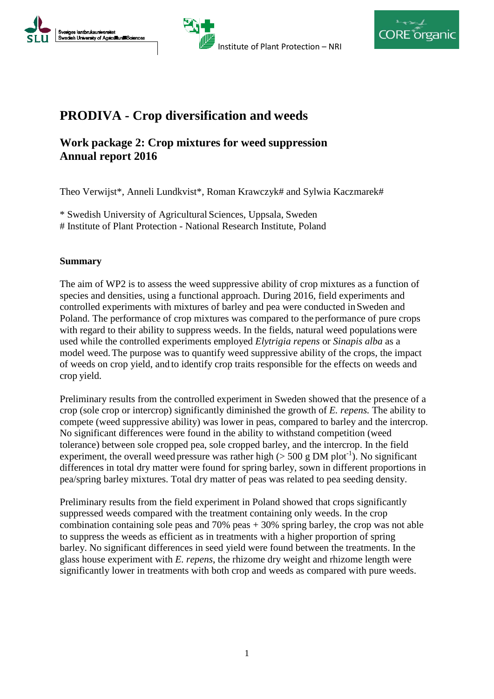





# **PRODIVA - Crop diversification and weeds**

# **Work package 2: Crop mixtures for weed suppression Annual report 2016**

Theo Verwijst\*, Anneli Lundkvist\*, Roman Krawczyk# and Sylwia Kaczmarek#

\* Swedish University of Agricultural Sciences, Uppsala, Sweden # Institute of Plant Protection - National Research Institute, Poland

### **Summary**

The aim of WP2 is to assess the weed suppressive ability of crop mixtures as a function of species and densities, using a functional approach. During 2016, field experiments and controlled experiments with mixtures of barley and pea were conducted inSweden and Poland. The performance of crop mixtures was compared to the performance of pure crops with regard to their ability to suppress weeds. In the fields, natural weed populations were used while the controlled experiments employed *Elytrigia repens* or *Sinapis alba* as a model weed.The purpose was to quantify weed suppressive ability of the crops, the impact of weeds on crop yield, and to identify crop traits responsible for the effects on weeds and crop yield.

Preliminary results from the controlled experiment in Sweden showed that the presence of a crop (sole crop or intercrop) significantly diminished the growth of *E. repens.* The ability to compete (weed suppressive ability) was lower in peas, compared to barley and the intercrop. No significant differences were found in the ability to withstand competition (weed tolerance) between sole cropped pea, sole cropped barley, and the intercrop. In the field experiment, the overall weed pressure was rather high  $(> 500 \text{ g DM plot}^{-1})$ . No significant differences in total dry matter were found for spring barley, sown in different proportions in pea/spring barley mixtures. Total dry matter of peas was related to pea seeding density.

Preliminary results from the field experiment in Poland showed that crops significantly suppressed weeds compared with the treatment containing only weeds. In the crop combination containing sole peas and 70% peas + 30% spring barley, the crop was not able to suppress the weeds as efficient as in treatments with a higher proportion of spring barley. No significant differences in seed yield were found between the treatments. In the glass house experiment with *E. repens*, the rhizome dry weight and rhizome length were significantly lower in treatments with both crop and weeds as compared with pure weeds.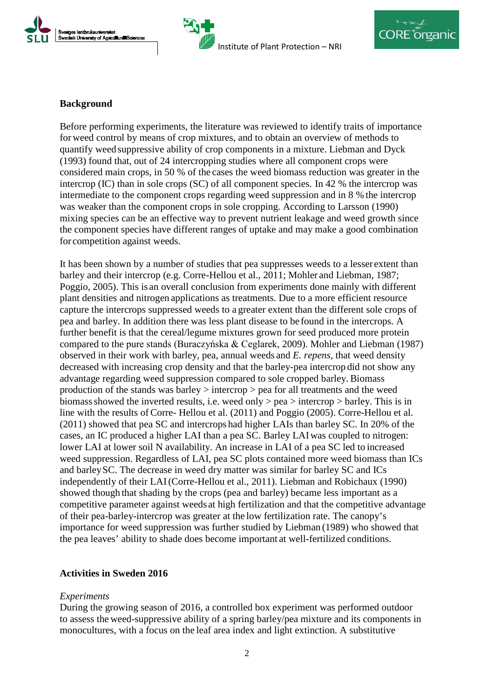





### **Background**

Before performing experiments, the literature was reviewed to identify traits of importance for weed control by means of crop mixtures, and to obtain an overview of methods to quantify weed suppressive ability of crop components in a mixture. Liebman and Dyck (1993) found that, out of 24 intercropping studies where all component crops were considered main crops, in 50 % of the cases the weed biomass reduction was greater in the intercrop (IC) than in sole crops (SC) of all component species. In 42 % the intercrop was intermediate to the component crops regarding weed suppression and in 8 % the intercrop was weaker than the component crops in sole cropping. According to Larsson (1990) mixing species can be an effective way to prevent nutrient leakage and weed growth since the component species have different ranges of uptake and may make a good combination for competition against weeds.

It has been shown by a number of studies that pea suppresses weeds to a lesser extent than barley and their intercrop (e.g. Corre-Hellou et al., 2011; Mohler and Liebman, 1987; Poggio, 2005). This is an overall conclusion from experiments done mainly with different plant densities and nitrogen applications as treatments. Due to a more efficient resource capture the intercrops suppressed weeds to a greater extent than the different sole crops of pea and barley. In addition there was less plant disease to be found in the intercrops. A further benefit is that the cereal/legume mixtures grown for seed produced more protein compared to the pure stands (Buraczyńska & Ceglarek, 2009). Mohler and Liebman (1987) observed in their work with barley, pea, annual weeds and *E. repens,* that weed density decreased with increasing crop density and that the barley-pea intercrop did not show any advantage regarding weed suppression compared to sole cropped barley. Biomass production of the stands was barley > intercrop > pea for all treatments and the weed biomass showed the inverted results, i.e. weed only  $>$  pea  $>$  intercrop  $>$  barley. This is in line with the results of Corre- Hellou et al. (2011) and Poggio (2005). Corre-Hellou et al. (2011) showed that pea SC and intercrops had higher LAIs than barley SC. In 20% of the cases, an IC produced a higher LAI than a pea SC. Barley LAIwas coupled to nitrogen: lower LAI at lower soil N availability. An increase in LAI of a pea SC led to increased weed suppression. Regardless of LAI, pea SC plots contained more weed biomass than ICs and barleySC. The decrease in weed dry matter was similar for barley SC and ICs independently of their LAI(Corre-Hellou et al., 2011). Liebman and Robichaux (1990) showed though that shading by the crops (pea and barley) became less important as a competitive parameter against weeds at high fertilization and that the competitive advantage of their pea-barley-intercrop was greater at the low fertilization rate. The canopy's importance for weed suppression was further studied by Liebman (1989) who showed that the pea leaves' ability to shade does become important at well-fertilized conditions.

### **Activities in Sweden 2016**

### *Experiments*

During the growing season of 2016, a controlled box experiment was performed outdoor to assess the weed-suppressive ability of a spring barley/pea mixture and its components in monocultures, with a focus on the leaf area index and light extinction. A substitutive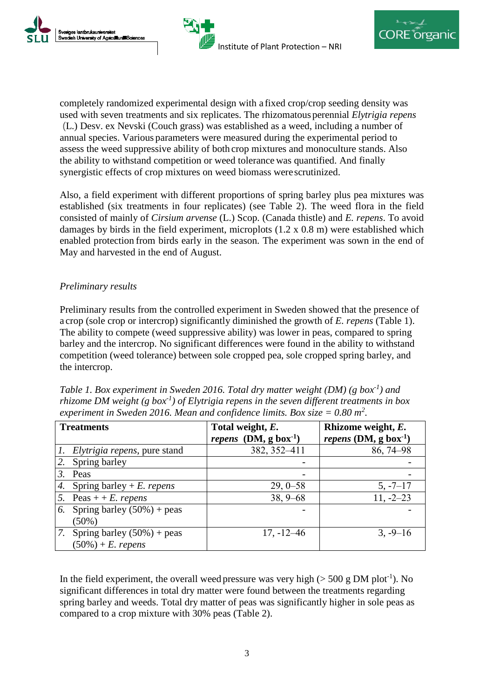

completely randomized experimental design with a fixed crop/crop seeding density was used with seven treatments and six replicates. The rhizomatous perennial *Elytrigia repens*  (L.) Desv. ex Nevski (Couch grass) was established as a weed, including a number of annual species. Various parameters were measured during the experimental period to assess the weed suppressive ability of both crop mixtures and monoculture stands. Also the ability to withstand competition or weed tolerance was quantified. And finally synergistic effects of crop mixtures on weed biomass were scrutinized.

Also, a field experiment with different proportions of spring barley plus pea mixtures was established (six treatments in four replicates) (see Table 2). The weed flora in the field consisted of mainly of *Cirsium arvense* (L.) Scop. (Canada thistle) and *E. repens*. To avoid damages by birds in the field experiment, microplots (1.2 x 0.8 m) were established which enabled protection from birds early in the season. The experiment was sown in the end of May and harvested in the end of August.

# *Preliminary results*

Ñ

Preliminary results from the controlled experiment in Sweden showed that the presence of a crop (sole crop or intercrop) significantly diminished the growth of *E. repens* (Table 1). The ability to compete (weed suppressive ability) was lower in peas, compared to spring barley and the intercrop. No significant differences were found in the ability to withstand competition (weed tolerance) between sole cropped pea, sole cropped spring barley, and the intercrop.

| Table 1. Box experiment in Sweden 2016. Total dry matter weight (DM) (g box <sup>-1</sup> ) and       |
|-------------------------------------------------------------------------------------------------------|
| rhizome DM weight (g box <sup>-1</sup> ) of Elytrigia repens in the seven different treatments in box |
| experiment in Sweden 2016. Mean and confidence limits. Box size $= 0.80$ m <sup>2</sup> .             |

| <b>Treatments</b> |                                      | Total weight, E.              | Rhizome weight, E.                         |
|-------------------|--------------------------------------|-------------------------------|--------------------------------------------|
|                   |                                      | <i>repens</i> $(DM, g box-1)$ | <i>repens</i> (DM, $g$ box <sup>-1</sup> ) |
|                   | <i>Elytrigia repens</i> , pure stand | 382, 352-411                  | 86, 74–98                                  |
|                   | Spring barley                        |                               |                                            |
|                   | Peas                                 |                               |                                            |
| 4.                | Spring barley + E. repens            | $29, 0 - 58$                  | $5, -7 - 17$                               |
|                   | 5. Peas $+ + E$ . repens             | $38, 9 - 68$                  | $11, -2 - 23$                              |
| 6.                | Spring barley $(50\%)$ + peas        |                               |                                            |
|                   | $(50\%)$                             |                               |                                            |
| 7.                | Spring barley $(50\%)$ + peas        | $17, -12 - 46$                | $3, -9 - 16$                               |
|                   | $(50\%) + E$ . repens                |                               |                                            |

In the field experiment, the overall weed pressure was very high  $($  > 500 g DM plot<sup>-1</sup>). No significant differences in total dry matter were found between the treatments regarding spring barley and weeds. Total dry matter of peas was significantly higher in sole peas as compared to a crop mixture with 30% peas (Table 2).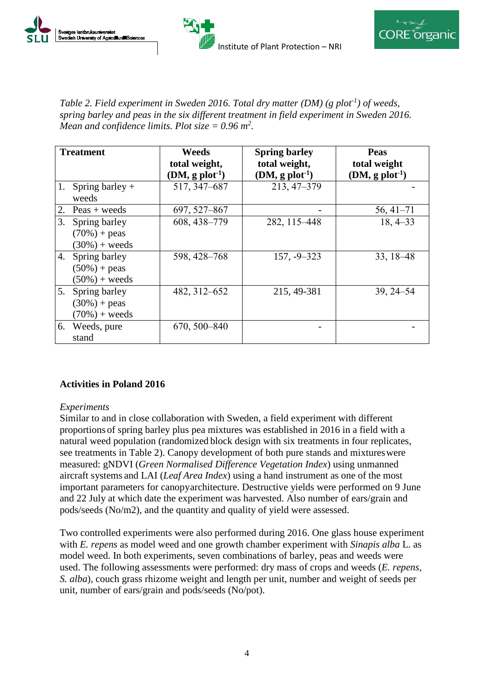





*Table 2. Field experiment in Sweden 2016. Total dry matter (DM) (g plot-1 ) of weeds, spring barley and peas in the six different treatment in field experiment in Sweden 2016. Mean and confidence limits. Plot size = 0.96 m2 .*

| <b>Treatment</b> |                        | Weeds                       | <b>Spring barley</b> | Peas                        |
|------------------|------------------------|-----------------------------|----------------------|-----------------------------|
|                  |                        | total weight,               | total weight,        | total weight                |
|                  |                        | $(DM, g \text{ plot}^{-1})$ | $(DM, g plot-1)$     | $(DM, g \text{ plot}^{-1})$ |
| 1.               | Spring barley $+$      | 517, 347-687                | 213, 47-379          |                             |
|                  | weeds                  |                             |                      |                             |
|                  | 2. Peas + weeds        | 697, 527-867                |                      | $56, 41 - 71$               |
| 3.               | Spring barley          | 608, 438-779                | 282, 115-448         | $18, 4 - 33$                |
|                  | $(70\%) + \text{peas}$ |                             |                      |                             |
|                  | $(30\%) + weeds$       |                             |                      |                             |
|                  | 4. Spring barley       | 598, 428-768                | $157, -9 - 323$      | 33, 18 - 48                 |
|                  | $(50\%) + \text{peas}$ |                             |                      |                             |
|                  | $(50\%) + weeds$       |                             |                      |                             |
|                  | 5. Spring barley       | 482, 312-652                | 215, 49-381          | 39, 24 - 54                 |
|                  | $(30\%) + \text{peas}$ |                             |                      |                             |
|                  | $(70\%) + weeds$       |                             |                      |                             |
|                  | 6. Weeds, pure         | 670, 500-840                |                      |                             |
|                  | stand                  |                             |                      |                             |

### **Activities in Poland 2016**

### *Experiments*

Similar to and in close collaboration with Sweden, a field experiment with different proportions of spring barley plus pea mixtures was established in 2016 in a field with a natural weed population (randomized block design with six treatments in four replicates, see treatments in Table 2). Canopy development of both pure stands and mixtureswere measured: gNDVI (*Green Normalised Difference Vegetation Index*) using unmanned aircraft systems and LAI (*Leaf Area Index*) using a hand instrument as one of the most important parameters for canopyarchitecture. Destructive yields were performed on 9 June and 22 July at which date the experiment was harvested. Also number of ears/grain and pods/seeds (No/m2), and the quantity and quality of yield were assessed.

Two controlled experiments were also performed during 2016. One glass house experiment with *E. repens* as model weed and one growth chamber experiment with *Sinapis alba* L. as model weed. In both experiments, seven combinations of barley, peas and weeds were used. The following assessments were performed: dry mass of crops and weeds (*E. repens, S. alba*), couch grass rhizome weight and length per unit, number and weight of seeds per unit, number of ears/grain and pods/seeds (No/pot).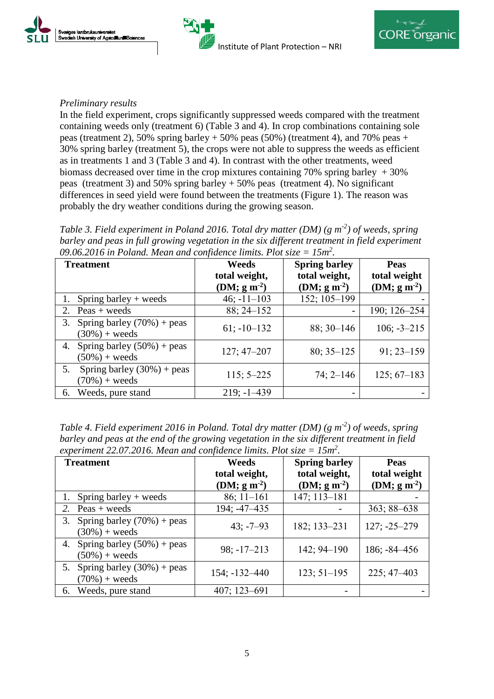





## *Preliminary results*

In the field experiment, crops significantly suppressed weeds compared with the treatment containing weeds only (treatment 6) (Table 3 and 4). In crop combinations containing sole peas (treatment 2), 50% spring barley  $+50%$  peas (50%) (treatment 4), and 70% peas  $+$ 30% spring barley (treatment 5), the crops were not able to suppress the weeds as efficient as in treatments 1 and 3 (Table 3 and 4). In contrast with the other treatments, weed biomass decreased over time in the crop mixtures containing 70% spring barley  $+30%$ peas (treatment 3) and 50% spring barley + 50% peas (treatment 4). No significant differences in seed yield were found between the treatments (Figure 1). The reason was probably the dry weather conditions during the growing season.

Table 3. Field experiment in Poland 2016. Total dry matter (DM) (g m<sup>-2</sup>) of weeds, spring *barley and peas in full growing vegetation in the six different treatment in field experiment 09.06.2016 in Poland. Mean and confidence limits. Plot size = 15m2 .*

| <b>Treatment</b>                                        | Weeds<br>total weight,<br>(DM; $g m-2$ ) | <b>Spring barley</b><br>total weight,<br>(DM; $g m-2$ ) | <b>Peas</b><br>total weight<br>(DM; $g m^{-2}$ ) |
|---------------------------------------------------------|------------------------------------------|---------------------------------------------------------|--------------------------------------------------|
| Spring barley $+$ weeds                                 | $46; -11 - 103$                          | 152; 105-199                                            |                                                  |
| 2.<br>$P\text{eas} + \text{weeds}$                      | $88; 24 - 152$                           |                                                         | 190; 126-254                                     |
| Spring barley $(70%)$ + peas<br>3.<br>$(30\%) + weeds$  | $61: -10 - 132$                          | $88; 30 - 146$                                          | $106; -3 - 215$                                  |
| Spring barley $(50\%)$ + peas<br>4.<br>$(50\%) + weeds$ | $127; 47 - 207$                          | $80; 35 - 125$                                          | $91:23 - 159$                                    |
| Spring barley $(30\%)$ + peas<br>5.<br>$(70%) + weeds$  | $115; 5 - 225$                           | $74; 2 - 146$                                           | $125; 67-183$                                    |
| Weeds, pure stand<br>6.                                 | $219; -1 - 439$                          |                                                         |                                                  |

Table 4. Field experiment 2016 in Poland. Total dry matter (DM) (g m<sup>-2</sup>) of weeds, spring *barley and peas at the end of the growing vegetation in the six different treatment in field experiment 22.07.2016. Mean and confidence limits. Plot size = 15m2 .*

| <b>Treatment</b>                                        | Weeds             | <b>Spring barley</b> | <b>Peas</b>      |
|---------------------------------------------------------|-------------------|----------------------|------------------|
|                                                         | total weight,     | total weight,        | total weight     |
|                                                         | (DM; $g m-2$ )    | (DM; $g m-2$ )       | (DM; $g m-2$ )   |
| Spring barley $+$ weeds                                 | $86; 11 - 161$    | 147; 113-181         |                  |
| $Peas + weeds$<br>2.                                    | 194; -47-435      |                      | $363; 88 - 638$  |
| Spring barley $(70%)$ + peas<br>3.<br>$(30\%) + weeds$  | $43: -7 - 93$     | 182; 133-231         | $127; -25 - 279$ |
|                                                         |                   |                      |                  |
| Spring barley $(50\%)$ + peas<br>4.<br>$(50\%) + weeds$ | $98; -17 - 213$   | $142; 94 - 190$      | $186; -84 - 456$ |
| Spring barley $(30\%)$ + peas<br>5.<br>$(70\%) + weeds$ | $154; -132 - 440$ | $123; 51 - 195$      | $225; 47 - 403$  |
| 6. Weeds, pure stand                                    | 407; 123-691      |                      |                  |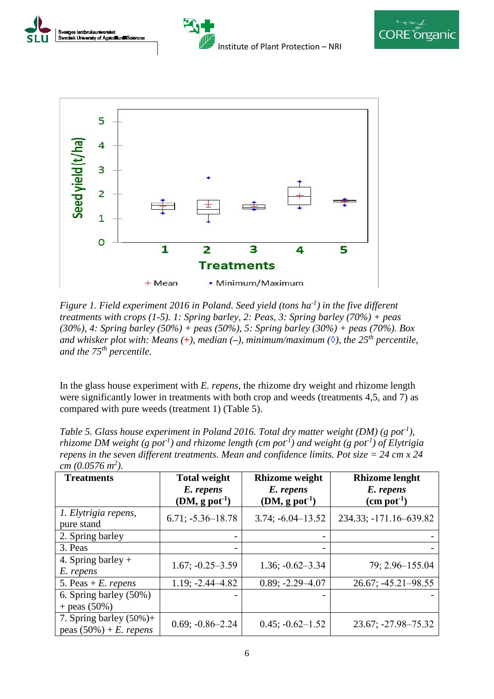







*Figure 1. Field experiment 2016 in Poland. Seed yield (tons ha-1 ) in the five different treatments with crops (1-5). 1: Spring barley, 2: Peas, 3: Spring barley (70%) + peas (30%), 4: Spring barley (50%) + peas (50%), 5: Spring barley (30%) + peas (70%). Box and whisker plot with: Means (+), median (-), minimum/maximum (* $\Diamond$ *), the 25<sup>th</sup> percentile, and the 75th percentile.*

In the glass house experiment with *E. repens*, the rhizome dry weight and rhizome length were significantly lower in treatments with both crop and weeds (treatments 4,5, and 7) as compared with pure weeds (treatment 1) (Table 5).

| Table 5. Glass house experiment in Poland 2016. Total dry matter weight (DM) (g pot <sup>1</sup> ),                             |  |  |  |  |
|---------------------------------------------------------------------------------------------------------------------------------|--|--|--|--|
| rhizome DM weight (g pot <sup>1</sup> ) and rhizome length (cm pot <sup>1</sup> ) and weight (g pot <sup>1</sup> ) of Elytrigia |  |  |  |  |
| repens in the seven different treatments. Mean and confidence limits. Pot size $=$ 24 cm x 24                                   |  |  |  |  |
| cm $(0.0576 \, m^2)$ .                                                                                                          |  |  |  |  |
|                                                                                                                                 |  |  |  |  |

| <b>Treatments</b>                                        | <b>Total weight</b><br>E. repens<br>$(DM, g$ pot <sup>-1</sup> ) | <b>Rhizome weight</b><br>E. repens<br>$(DM, g$ pot <sup>-1</sup> ) | <b>Rhizome lenght</b><br>E. repens<br>$(cm$ pot <sup>-1</sup> ) |
|----------------------------------------------------------|------------------------------------------------------------------|--------------------------------------------------------------------|-----------------------------------------------------------------|
| 1. Elytrigia repens,<br>pure stand                       | $6.71; -5.36 - 18.78$                                            | $3.74; -6.04 - 13.52$                                              | 234.33; -171.16-639.82                                          |
| 2. Spring barley                                         |                                                                  |                                                                    |                                                                 |
| 3. Peas                                                  |                                                                  |                                                                    |                                                                 |
| 4. Spring barley $+$<br>E. repens                        | $1.67; -0.25 - 3.59$                                             | $1.36; -0.62 - 3.34$                                               | 79; 2.96-155.04                                                 |
| 5. Peas + $E$ . repens                                   | $1.19; -2.44 - 4.82$                                             | $0.89; -2.29 - 4.07$                                               | $26.67$ ; $-45.21 - 98.55$                                      |
| 6. Spring barley (50%)<br>+ peas $(50\%)$                |                                                                  |                                                                    |                                                                 |
| 7. Spring barley $(50\%)+$<br>peas $(50\%) + E$ . repens | $0.69; -0.86 - 2.24$                                             | $0.45; -0.62 - 1.52$                                               | 23.67; -27.98-75.32                                             |